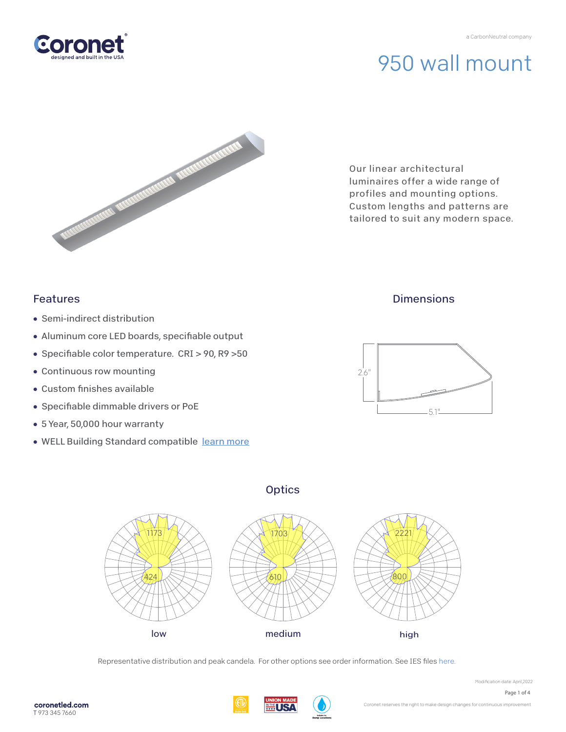# 950 wall mount



Our linear architectural luminaires offer a wide range of profiles and mounting options. Custom lengths and patterns are tailored to suit any modern space.

# Features

- Semi-indirect distribution
- Aluminum core LED boards, specifiable output
- Specifiable color temperature. CRI > 90, R9 > 50
- Continuous row mounting
- $\bullet$  Custom finishes available
- Specifiable dimmable drivers or PoE
- 5 Year, 50,000 hour warranty
- WELL Building Standard compatibl[e learn more](https://coronetled.com/well-v2-standard/)

# **Dimensions**







Representative distribution and peak candela. For other options see order information. See IES fil[es here.](https://coronetled.com/downloads/)

Modification date: April,2022 Page 1 of 4

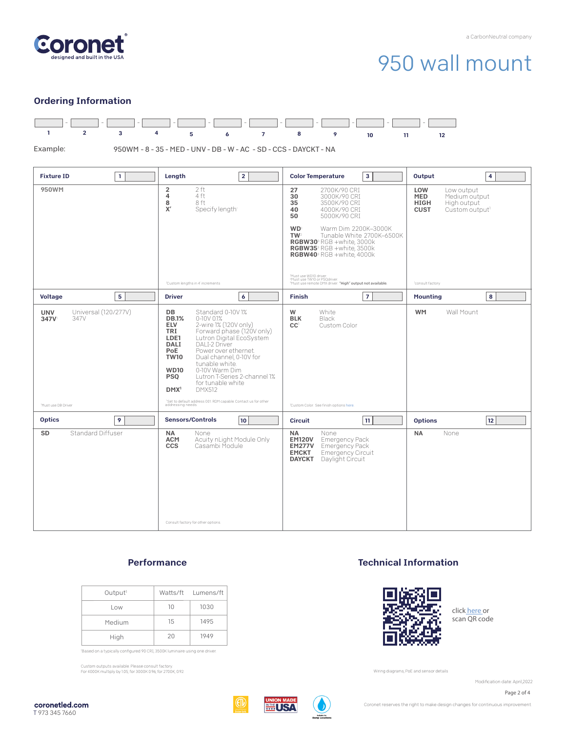

# 950 wall mount

# Ordering Information



### **Performance**

| Output <sup>1</sup> |    | Watts/ft Lumens/ft |
|---------------------|----|--------------------|
| Low                 | 10 | 1030               |
| Medium              | 15 | 1495               |
| High                | 20 | 1949               |

'Based on a typically configured 90 CRI, 3500K luminaire using one driver.

Custom outputs available. Please consult factory. For 4000K multiply by 1.05; for 3000K 0.96; for 2700K, 0.92.

### Technical Information



click [here or](https://coronetled.com/warranty-technical-info/) scan QR code

Wiring diagrams, PoE and sensor details

Modification date: April,2022





Coronet reserves the right to make design changes for continuous improvement.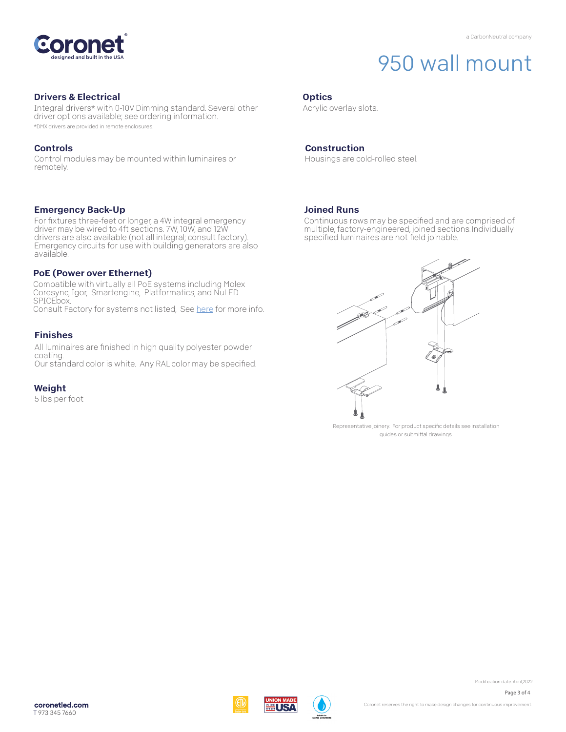

# 950 wall mount

## Drivers & Electrical

Integral drivers\* with 0-10V Dimming standard. Several other driver options available; see ordering information. \*DMX drivers are provided in remote enclosures.

## Controls

Control modules may be mounted within luminaires or remotely.

### Emergency Back-Up

For fixtures three-feet or longer, a 4W integral emergency driver may be wired to 4ft sections. 7W, 10W, and 12W drivers are also available (not all integral; consult factory). Emergency circuits for use with building generators are also available.

## PoE (Power over Ethernet)

Compatible with virtually all PoE systems including Molex Coresync, Igor, Smartengine, Platformatics, and NuLED SPICEbox. Consult Factory for systems not listed, See [here fo](https://coronetled.com/warranty-technical-info/)r more info.

### Finishes

All luminaires are finished in high quality polyester powder coating. Our standard color is white. Any RAL color may be specified.

## Weight

5 lbs per foot

### **Optics**

Acrylic overlay slots.

### Construction

Housings are cold-rolled steel.

### Joined Runs

WI ISA

Continuous rows may be specified and are comprised of multiple, factory-engineered, joined sections. Individually specified luminaires are not field joinable.



Representative joinery. For product specific details see installation guides or submittal drawings.

Modification date: April,2022